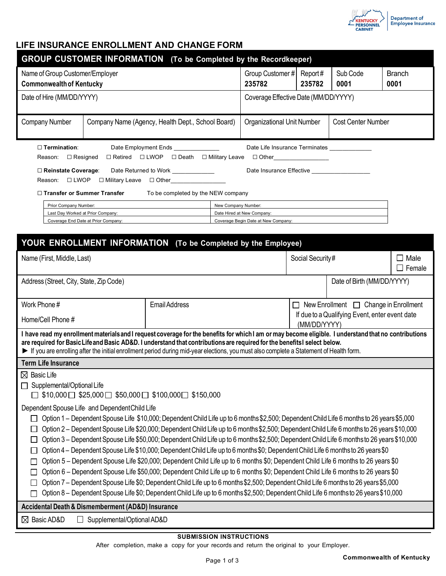

## **LIFE INSURANCE ENROLLMENT AND CHANGE FORM**

| <b>GROUP CUSTOMER INFORMATION</b> (To be Completed by the Recordkeeper)                                                                                                                                                                                                                                                                                                                                                                                                                                                                                                                                                                                                                                                                                                                                                                                                                                                                                                                                                                                                                                                                                                                                                                      |                                                                          |        |                  |                                                                   |                  |  |                                 |  |  |  |  |
|----------------------------------------------------------------------------------------------------------------------------------------------------------------------------------------------------------------------------------------------------------------------------------------------------------------------------------------------------------------------------------------------------------------------------------------------------------------------------------------------------------------------------------------------------------------------------------------------------------------------------------------------------------------------------------------------------------------------------------------------------------------------------------------------------------------------------------------------------------------------------------------------------------------------------------------------------------------------------------------------------------------------------------------------------------------------------------------------------------------------------------------------------------------------------------------------------------------------------------------------|--------------------------------------------------------------------------|--------|------------------|-------------------------------------------------------------------|------------------|--|---------------------------------|--|--|--|--|
| Name of Group Customer/Employer<br><b>Commonwealth of Kentucky</b>                                                                                                                                                                                                                                                                                                                                                                                                                                                                                                                                                                                                                                                                                                                                                                                                                                                                                                                                                                                                                                                                                                                                                                           | Group Customer # Report #<br>235782                                      | 235782 | Sub Code<br>0001 | <b>Branch</b><br>0001                                             |                  |  |                                 |  |  |  |  |
| Date of Hire (MM/DD/YYYY)                                                                                                                                                                                                                                                                                                                                                                                                                                                                                                                                                                                                                                                                                                                                                                                                                                                                                                                                                                                                                                                                                                                                                                                                                    |                                                                          |        |                  | Coverage Effective Date (MM/DD/YYYY)                              |                  |  |                                 |  |  |  |  |
| <b>Company Number</b>                                                                                                                                                                                                                                                                                                                                                                                                                                                                                                                                                                                                                                                                                                                                                                                                                                                                                                                                                                                                                                                                                                                                                                                                                        | Company Name (Agency, Health Dept., School Board)                        |        |                  | <b>Cost Center Number</b><br>Organizational Unit Number           |                  |  |                                 |  |  |  |  |
| $\Box$ Termination:<br>Date Employment Ends<br>Date Life Insurance Terminates ______________<br>□ Retired □ LWOP<br>□ Death □ Military Leave □ Other_______________<br>$\Box$ Resigned<br>Reason:<br>□ Reinstate Coverage:<br>Date Returned to Work _____________                                                                                                                                                                                                                                                                                                                                                                                                                                                                                                                                                                                                                                                                                                                                                                                                                                                                                                                                                                            |                                                                          |        |                  |                                                                   |                  |  |                                 |  |  |  |  |
| $\Box$ LWOP<br>□ Military Leave □ Other<br>Reason:<br>□ Transfer or Summer Transfer<br>To be completed by the NEW company                                                                                                                                                                                                                                                                                                                                                                                                                                                                                                                                                                                                                                                                                                                                                                                                                                                                                                                                                                                                                                                                                                                    |                                                                          |        |                  |                                                                   |                  |  |                                 |  |  |  |  |
| Prior Company Number:<br>New Company Number:                                                                                                                                                                                                                                                                                                                                                                                                                                                                                                                                                                                                                                                                                                                                                                                                                                                                                                                                                                                                                                                                                                                                                                                                 |                                                                          |        |                  |                                                                   |                  |  |                                 |  |  |  |  |
|                                                                                                                                                                                                                                                                                                                                                                                                                                                                                                                                                                                                                                                                                                                                                                                                                                                                                                                                                                                                                                                                                                                                                                                                                                              | Last Day Worked at Prior Company:<br>Coverage End Date at Prior Company: |        |                  | Date Hired at New Company:<br>Coverage Begin Date at New Company: |                  |  |                                 |  |  |  |  |
|                                                                                                                                                                                                                                                                                                                                                                                                                                                                                                                                                                                                                                                                                                                                                                                                                                                                                                                                                                                                                                                                                                                                                                                                                                              |                                                                          |        |                  |                                                                   |                  |  |                                 |  |  |  |  |
| YOUR ENROLLMENT INFORMATION (To be Completed by the Employee)                                                                                                                                                                                                                                                                                                                                                                                                                                                                                                                                                                                                                                                                                                                                                                                                                                                                                                                                                                                                                                                                                                                                                                                |                                                                          |        |                  |                                                                   |                  |  |                                 |  |  |  |  |
| Name (First, Middle, Last)                                                                                                                                                                                                                                                                                                                                                                                                                                                                                                                                                                                                                                                                                                                                                                                                                                                                                                                                                                                                                                                                                                                                                                                                                   |                                                                          |        |                  |                                                                   | Social Security# |  | $\square$ Male<br>$\Box$ Female |  |  |  |  |
| Address (Street, City, State, Zip Code)                                                                                                                                                                                                                                                                                                                                                                                                                                                                                                                                                                                                                                                                                                                                                                                                                                                                                                                                                                                                                                                                                                                                                                                                      |                                                                          |        |                  | Date of Birth (MM/DD/YYYY)                                        |                  |  |                                 |  |  |  |  |
| Work Phone #<br><b>Email Address</b>                                                                                                                                                                                                                                                                                                                                                                                                                                                                                                                                                                                                                                                                                                                                                                                                                                                                                                                                                                                                                                                                                                                                                                                                         |                                                                          |        |                  | $\Box$ New Enrollment $\Box$ Change in Enrollment                 |                  |  |                                 |  |  |  |  |
| Home/Cell Phone #                                                                                                                                                                                                                                                                                                                                                                                                                                                                                                                                                                                                                                                                                                                                                                                                                                                                                                                                                                                                                                                                                                                                                                                                                            |                                                                          |        |                  | If due to a Qualifying Event, enter event date<br>(MM/DD/YYYY)    |                  |  |                                 |  |  |  |  |
| I have read my enrollment materials and I request coverage for the benefits for which I am or may become eligible. I understand that no contributions<br>are required for Basic Life and Basic AD&D. I understand that contributions are required for the benefits I select below.<br>If you are enrolling after the initial enrollment period during mid-year elections, you must also complete a Statement of Health form.                                                                                                                                                                                                                                                                                                                                                                                                                                                                                                                                                                                                                                                                                                                                                                                                                 |                                                                          |        |                  |                                                                   |                  |  |                                 |  |  |  |  |
| <b>Term Life Insurance</b>                                                                                                                                                                                                                                                                                                                                                                                                                                                                                                                                                                                                                                                                                                                                                                                                                                                                                                                                                                                                                                                                                                                                                                                                                   |                                                                          |        |                  |                                                                   |                  |  |                                 |  |  |  |  |
| $\boxtimes$ Basic Life<br>$\Box$ Supplemental/Optional Life<br>$\Box$ \$10,000 $\Box$ \$25,000 $\Box$ \$50,000 $\Box$ \$100,000 $\Box$ \$150,000                                                                                                                                                                                                                                                                                                                                                                                                                                                                                                                                                                                                                                                                                                                                                                                                                                                                                                                                                                                                                                                                                             |                                                                          |        |                  |                                                                   |                  |  |                                 |  |  |  |  |
| Dependent Spouse Life and Dependent Child Life<br>Option 1 – Dependent Spouse Life \$10,000; Dependent Child Life up to 6 months \$2,500; Dependent Child Life 6 months to 26 years \$5,000<br>Option 2 - Dependent Spouse Life \$20,000; Dependent Child Life up to 6 months \$2,500; Dependent Child Life 6 months to 26 years \$10,000<br>Option 3 - Dependent Spouse Life \$50,000; Dependent Child Life up to 6 months \$2,500; Dependent Child Life 6 months to 26 years \$10,000<br>Option 4 - Dependent Spouse Life \$10,000; Dependent Child Life up to 6 months \$0; Dependent Child Life 6 months to 26 years \$0<br>Option 5 – Dependent Spouse Life \$20,000; Dependent Child Life up to 6 months \$0; Dependent Child Life 6 months to 26 years \$0<br>Option 6 – Dependent Spouse Life \$50,000; Dependent Child Life up to 6 months \$0; Dependent Child Life 6 months to 26 years \$0<br>Option 7 - Dependent Spouse Life \$0; Dependent Child Life up to 6 months \$2,500; Dependent Child Life 6 months to 26 years \$5,000<br>Option 8 - Dependent Spouse Life \$0; Dependent Child Life up to 6 months \$2,500; Dependent Child Life 6 months to 26 years \$10,000<br>Accidental Death & Dismemberment (AD&D) Insurance |                                                                          |        |                  |                                                                   |                  |  |                                 |  |  |  |  |
| ⊠ Basic AD&D<br>$\perp$                                                                                                                                                                                                                                                                                                                                                                                                                                                                                                                                                                                                                                                                                                                                                                                                                                                                                                                                                                                                                                                                                                                                                                                                                      | Supplemental/Optional AD&D                                               |        |                  |                                                                   |                  |  |                                 |  |  |  |  |
|                                                                                                                                                                                                                                                                                                                                                                                                                                                                                                                                                                                                                                                                                                                                                                                                                                                                                                                                                                                                                                                                                                                                                                                                                                              |                                                                          |        |                  |                                                                   |                  |  |                                 |  |  |  |  |

#### **SUBMISSION INSTRUCTIONS**

After completion, make a copy for your records and return the original to your Employer.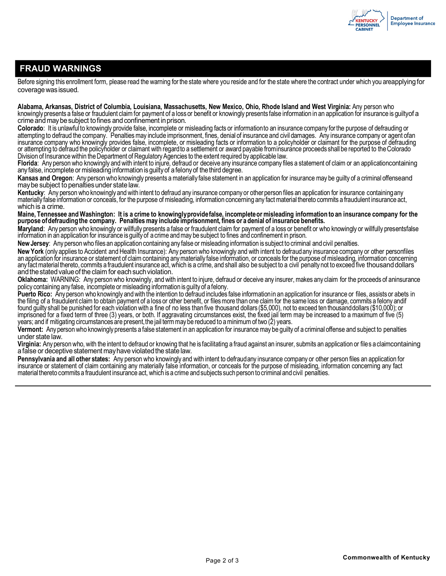

## **FRAUD WARNINGS**

Before signing this enrollment form, please read the warning forthe state where you reside and for the state where the contract under which you areapplying for coveragewasissued.

**Alabama, Arkansas, District of Columbia, Louisiana, Massachusetts, New Mexico, Ohio, Rhode Island and West Virginia:** Any person who knowingly presents a false or fraudulent claim for payment of a loss or benefit or knowingly presents false information in an application for insurance is guiltyof a crime and maybesubject tofines and confinement inprison.

**Colorado**: It is unlawfulto knowingly provide false, incomplete or misleading facts or informationto an insurance company forthe purpose of defrauding or attempting to defraud the company. Penalties may include imprisonment, fines, denial of insurance and civil damages. Any insurance company or agent ofan insurance company who knowingly provides false, incomplete, or misleading facts or information to a policyholder or claimant for the purpose of defrauding or attempting to defraud the policyholder or claimant with regardto a settlement or award payable frominsurance proceeds shall be reported to theColorado Division of Insurance within the Department of Regulatory Agencies to the extent required by applicable law.

**Florida**: Any person who knowingly and with intent to injure, defraud or deceive any insurance company files a statement of claim or an applicationcontaining any false, incomplete or misleading information is guilty of a felony of the third degree.

**Kansas and Oregon**: Any person who knowingly presents a materially false statement in an application for insurance may be guilty of a criminal offenseand maybe subject to penaltiesunder state law.

**Kentucky**: Any person who knowingly and with intent to defraud any insurance company or otherperson files an application for insurance containingany materially false information or conceals, for the purpose of misleading, information concerning any fact material thereto commits a fraudulent insurance act, which is a crime.

Maine, Tennessee and Washington: It is a crime to knowingly providefalse, incomplete or misleading information to an insurance company for the **purpose ofdefraudingthe company. Penalties may include imprisonment, fines or a denial of insurance benefits.**

**Maryland**: Any person who knowingly or willfully presents a false or fraudulent claim for payment of a loss or benefit or who knowingly or willfully presentsfalse information in an application for insurance is guilty of a crime and may be subject to fines and confinement in prison.

**New Jersey**: Any personwho files an application containing any false or misleading information is subject to criminal and civil penalties.

**New York** (only applies to Accident and Health Insurance): Any person who knowingly and with intent to defraudany insurance company or other personfiles an application for insurance or statement of claim containing any materially false information, or conceals for the purpose of misleading, information concerning any fact materialthereto, commits a fraudulent insurance act, which is a crime, and shall also be subject to a civil penalty not to exceed five thousanddollars and the stated value of the claim for each such violation.

**Oklahoma:** WARNING: Any person who knowingly, and with intent to injure, defraud or deceive any insurer, makes any claim for the proceeds of aninsurance policy containing any false, incomplete or misleading information is guilty of a felony.

**Puerto Rico:** Any person who knowingly and with the intention to defraud includes false informationin an application for insurance or files, assists or abets in the filing of a fraudulent claim to obtain payment of a loss or other benefit, or files more than one claim for the same loss or damage, commits a felony andif found guilty shall be punished for each violation with a fine of no less than five thousand dollars (\$5,000), not to exceed ten thousanddollars (\$10,000); or imprisoned for a fixed term of three (3) years, or both. If aggravating circumstances exist, the fixed jail term may be increased to a maximum of five (5) years; and if mitigating circumstances are present,the jail term may be reduced to a minimum of two (2) years.

**Vermont:** Any person who knowingly presents a false statement in an application for insurance may be guilty of a criminal offense and subject to penalties under state law.

**Virginia:** Any person who, with the intent to defraud or knowing that he is facilitating a fraud against an insurer, submits an application or file s a claimcontaining a false or deceptive statement mayhave violatedthe state law.

**Pennsylvania and all other states:** Any person who knowingly and with intent to defraudany insurance company or other person files an application for insurance or statement of claim containing any materially false information, or conceals for the purpose of misleading, information concerning any fact material thereto commits a fraudulent insurance act, which is a crime and subjects such person to criminal and civil penalties.